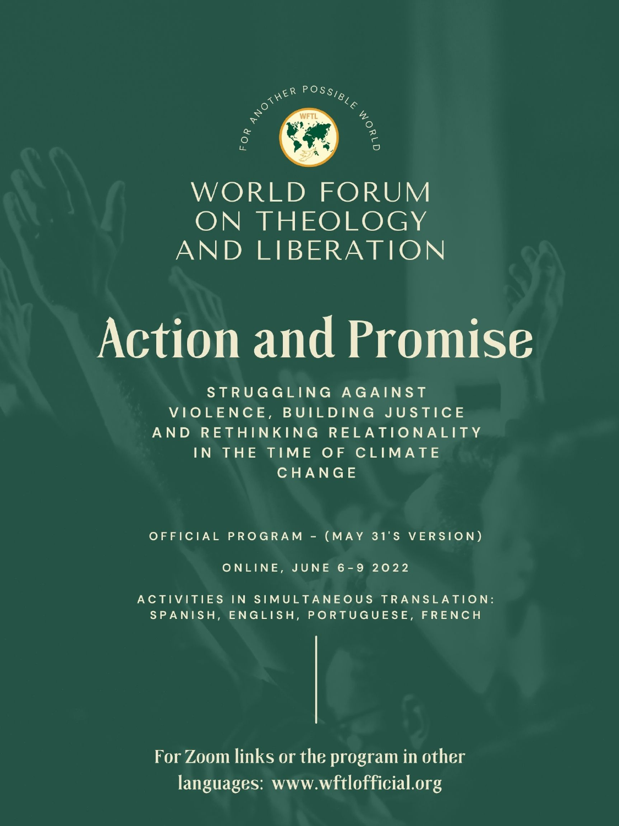

# WORLD FORUM ON THEOLOGY AND LIBERATION

# **Action and Promise**

STRUGGLING AGAINST VIOLENCE, BUILDING JUSTICE

# AND RETHINKING RELATIONALITY IN THE TIME OF CLIMATE CHANGE

## OFFICIAL PROGRAM - (MAY 31'S VERSION)

## **ONLINE, JUNE 6-9 2022**

# ACTIVITIES IN SIMULTANEOUS TRANSLATION: SPANISH, ENGLISH, PORTUGUESE, FRENCH

For Zoom links or the program in other languages: www.wftlofficial.org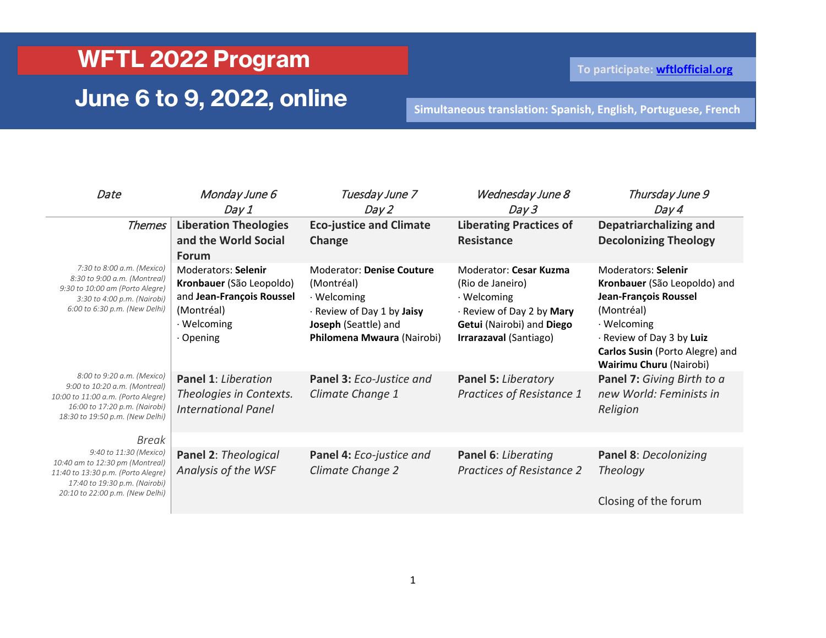### **WFTL 2022 Program**

## **June 6 to 9, 2022, online**

**To participate: [wftlofficial.org](https://d.docs.live.net/84489e23c2ba2d08/UdeM/%C3%89tudes%20des%20religions/Deuxi%C3%A8me%20cycle/FMTL/2022/wftlofficial.org)**

**Simultaneous translation: Spanish, English, Portuguese, French**

| Date                                                                                                                                                                         | Monday June 6<br>Day 1                                                                                                 | Tuesday June 7<br>Day 2                                                                                                                           | Wednesday June 8<br>Day 3                                                                                                                     | Thursday June 9<br>Day 4                                                                                                                                                                                    |
|------------------------------------------------------------------------------------------------------------------------------------------------------------------------------|------------------------------------------------------------------------------------------------------------------------|---------------------------------------------------------------------------------------------------------------------------------------------------|-----------------------------------------------------------------------------------------------------------------------------------------------|-------------------------------------------------------------------------------------------------------------------------------------------------------------------------------------------------------------|
| <b>Themes</b>                                                                                                                                                                | <b>Liberation Theologies</b><br>and the World Social<br><b>Forum</b>                                                   | <b>Eco-justice and Climate</b><br>Change                                                                                                          | <b>Liberating Practices of</b><br><b>Resistance</b>                                                                                           | Depatriarchalizing and<br><b>Decolonizing Theology</b>                                                                                                                                                      |
| 7:30 to 8:00 a.m. (Mexico)<br>8:30 to 9:00 a.m. (Montreal)<br>9:30 to 10:00 am (Porto Alegre)<br>3:30 to 4:00 p.m. (Nairobi)<br>6:00 to 6:30 p.m. (New Delhi)                | Moderators: Selenir<br>Kronbauer (São Leopoldo)<br>and Jean-François Roussel<br>(Montréal)<br>· Welcoming<br>· Opening | <b>Moderator: Denise Couture</b><br>(Montréal)<br>· Welcoming<br>· Review of Day 1 by Jaisy<br>Joseph (Seattle) and<br>Philomena Mwaura (Nairobi) | Moderator: Cesar Kuzma<br>(Rio de Janeiro)<br>· Welcoming<br>· Review of Day 2 by Mary<br>Getui (Nairobi) and Diego<br>Irrarazaval (Santiago) | Moderators: Selenir<br>Kronbauer (São Leopoldo) and<br>Jean-François Roussel<br>(Montréal)<br>· Welcoming<br>· Review of Day 3 by Luiz<br>Carlos Susin (Porto Alegre) and<br><b>Wairimu Churu (Nairobi)</b> |
| 8:00 to 9:20 a.m. (Mexico)<br>9:00 to 10:20 a.m. (Montreal)<br>10:00 to 11:00 a.m. (Porto Alegre)<br>16:00 to 17:20 p.m. (Nairobi)<br>18:30 to 19:50 p.m. (New Delhi)        | Panel 1: Liberation<br>Theologies in Contexts.<br>International Panel                                                  | Panel 3: Eco-Justice and<br>Climate Change 1                                                                                                      | Panel 5: Liberatory<br>Practices of Resistance 1                                                                                              | <b>Panel 7:</b> Giving Birth to a<br>new World: Feminists in<br>Religion                                                                                                                                    |
| Break<br>9:40 to 11:30 (Mexico)<br>10:40 am to 12:30 pm (Montreal)<br>11:40 to 13:30 p.m. (Porto Alegre)<br>17:40 to 19:30 p.m. (Nairobi)<br>20:10 to 22:00 p.m. (New Delhi) | Panel 2: Theological<br>Analysis of the WSF                                                                            | Panel 4: Eco-justice and<br>Climate Change 2                                                                                                      | Panel 6: Liberating<br><b>Practices of Resistance 2</b>                                                                                       | Panel 8: Decolonizing<br><b>Theology</b><br>Closing of the forum                                                                                                                                            |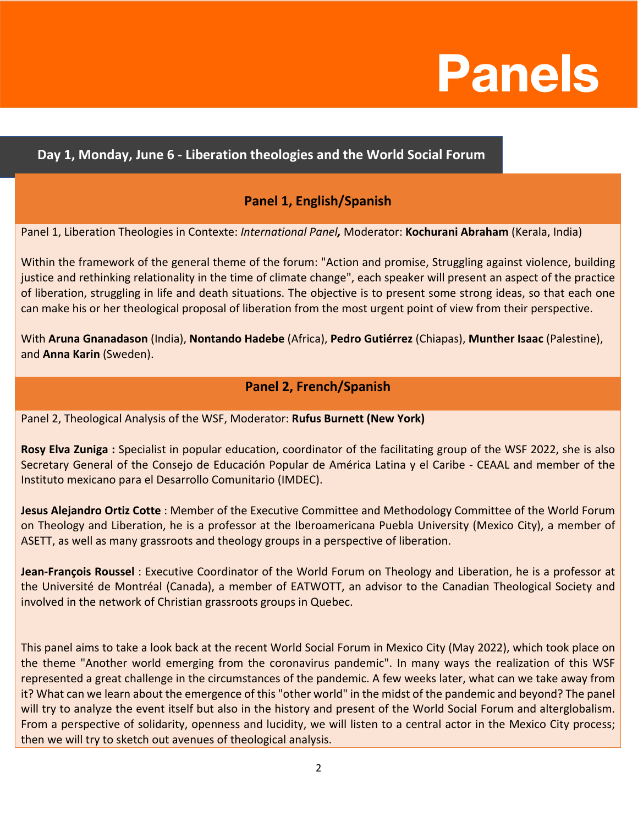# **Panels**

#### **Day 1, Monday, June 6 - Liberation theologies and the World Social Forum**

#### **Panel 1, English/Spanish**

Panel 1, Liberation Theologies in Contexte: *International Panel,* Moderator: **Kochurani Abraham** (Kerala, India)

Within the framework of the general theme of the forum: "Action and promise, Struggling against violence, building justice and rethinking relationality in the time of climate change", each speaker will present an aspect of the practice of liberation, struggling in life and death situations. The objective is to present some strong ideas, so that each one can make his or her theological proposal of liberation from the most urgent point of view from their perspective.

With **Aruna Gnanadason** (India), **Nontando Hadebe** (Africa), **Pedro Gutiérrez** (Chiapas), **Munther Isaac** (Palestine), and **Anna Karin** (Sweden).

#### **Panel 2, French/Spanish**

Panel 2, Theological Analysis of the WSF, Moderator: **Rufus Burnett (New York)**

**Rosy Elva Zuniga :** Specialist in popular education, coordinator of the facilitating group of the WSF 2022, she is also Secretary General of the Consejo de Educación Popular de América Latina y el Caribe - CEAAL and member of the Instituto mexicano para el Desarrollo Comunitario (IMDEC).

**Jesus Alejandro Ortiz Cotte** : Member of the Executive Committee and Methodology Committee of the World Forum on Theology and Liberation, he is a professor at the Iberoamericana Puebla University (Mexico City), a member of ASETT, as well as many grassroots and theology groups in a perspective of liberation.

**Jean-François Roussel** : Executive Coordinator of the World Forum on Theology and Liberation, he is a professor at the Université de Montréal (Canada), a member of EATWOTT, an advisor to the Canadian Theological Society and involved in the network of Christian grassroots groups in Quebec.

This panel aims to take a look back at the recent World Social Forum in Mexico City (May 2022), which took place on the theme "Another world emerging from the coronavirus pandemic". In many ways the realization of this WSF represented a great challenge in the circumstances of the pandemic. A few weeks later, what can we take away from it? What can we learn about the emergence of this "other world" in the midst of the pandemic and beyond? The panel will try to analyze the event itself but also in the history and present of the World Social Forum and alterglobalism. From a perspective of solidarity, openness and lucidity, we will listen to a central actor in the Mexico City process; then we will try to sketch out avenues of theological analysis.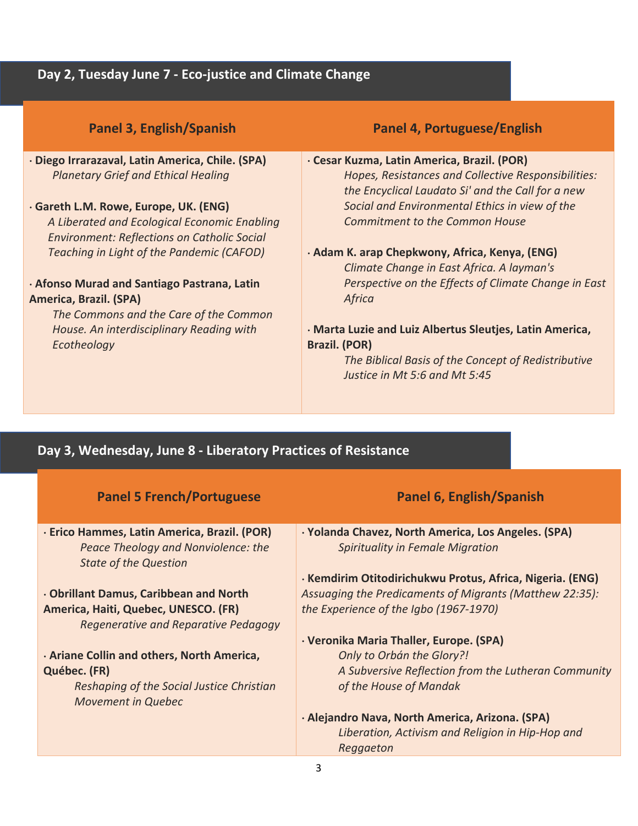#### **Day 2, Tuesday June 7 - Eco-justice and Climate Change**

| Panel 3, English/Spanish                           | Panel 4, Portuguese/English                                                                              |
|----------------------------------------------------|----------------------------------------------------------------------------------------------------------|
| · Diego Irrarazaval, Latin America, Chile. (SPA)   | · Cesar Kuzma, Latin America, Brazil. (POR)                                                              |
| <b>Planetary Grief and Ethical Healing</b>         | Hopes, Resistances and Collective Responsibilities:<br>the Encyclical Laudato Si' and the Call for a new |
| · Gareth L.M. Rowe, Europe, UK. (ENG)              | Social and Environmental Ethics in view of the                                                           |
| A Liberated and Ecological Economic Enabling       | <b>Commitment to the Common House</b>                                                                    |
| <b>Environment: Reflections on Catholic Social</b> |                                                                                                          |
| Teaching in Light of the Pandemic (CAFOD)          | · Adam K. arap Chepkwony, Africa, Kenya, (ENG)<br>Climate Change in East Africa. A layman's              |
| · Afonso Murad and Santiago Pastrana, Latin        | Perspective on the Effects of Climate Change in East                                                     |
| America, Brazil. (SPA)                             | Africa                                                                                                   |
| The Commons and the Care of the Common             |                                                                                                          |
| House. An interdisciplinary Reading with           | · Marta Luzie and Luiz Albertus Sleutjes, Latin America,                                                 |
| Ecotheology                                        | <b>Brazil. (POR)</b>                                                                                     |
|                                                    | The Biblical Basis of the Concept of Redistributive                                                      |
|                                                    | Justice in Mt 5:6 and Mt 5:45                                                                            |

#### **Day 3, Wednesday, June 8 - Liberatory Practices of Resistance**

| <b>Panel 5 French/Portuguese</b>                                                                                    | <b>Panel 6, English/Spanish</b>                                                                |
|---------------------------------------------------------------------------------------------------------------------|------------------------------------------------------------------------------------------------|
| · Erico Hammes, Latin America, Brazil. (POR)<br>Peace Theology and Nonviolence: the<br><b>State of the Question</b> | · Yolanda Chavez, North America, Los Angeles. (SPA)<br><b>Spirituality in Female Migration</b> |
|                                                                                                                     | · Kemdirim Otitodirichukwu Protus, Africa, Nigeria. (ENG)                                      |
| . Obrillant Damus, Caribbean and North                                                                              | Assuaging the Predicaments of Migrants (Matthew 22:35):                                        |
| America, Haiti, Quebec, UNESCO. (FR)                                                                                | the Experience of the Igbo (1967-1970)                                                         |
| Regenerative and Reparative Pedagogy                                                                                |                                                                                                |
|                                                                                                                     | · Veronika Maria Thaller, Europe. (SPA)                                                        |
| · Ariane Collin and others, North America,                                                                          | <b>Only to Orbán the Glory?!</b>                                                               |
| Québec. (FR)                                                                                                        | A Subversive Reflection from the Lutheran Community                                            |
| Reshaping of the Social Justice Christian<br><b>Movement in Quebec</b>                                              | of the House of Mandak                                                                         |
|                                                                                                                     | · Alejandro Nava, North America, Arizona. (SPA)                                                |
|                                                                                                                     | Liberation, Activism and Religion in Hip-Hop and                                               |
|                                                                                                                     | Reggaeton                                                                                      |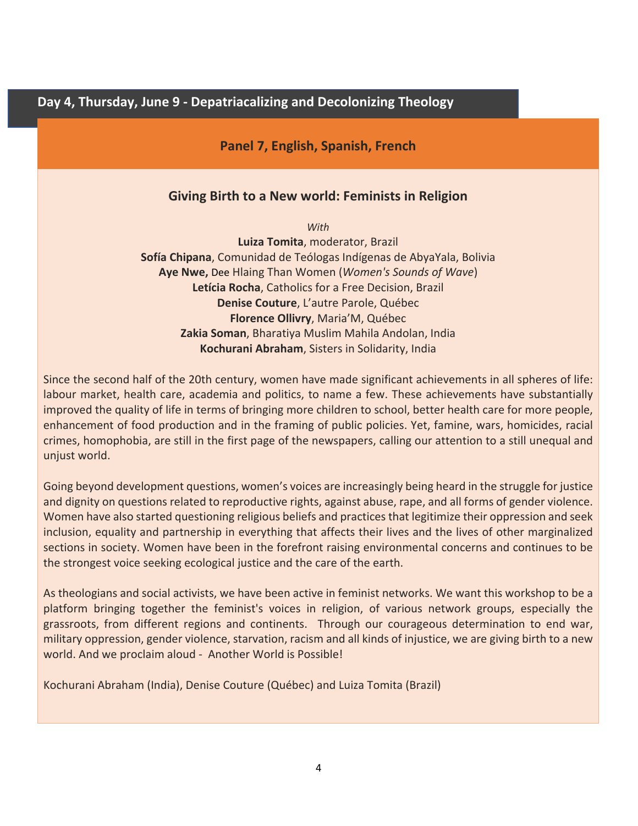**Day 4, Thursday, June 9 - Depatriacalizing and Decolonizing Theology**

**Panel 7, English, Spanish, French**

#### **Giving Birth to a New world: Feminists in Religion**

*With*

**Luiza Tomita**, moderator, Brazil **Sofía Chipana**, Comunidad de Teólogas Indígenas de AbyaYala, Bolivia **Aye Nwe,** Dee Hlaing Than Women (*Women's Sounds of Wave*) **Letícia Rocha**, Catholics for a Free Decision, Brazil **Denise Couture**, L'autre Parole, Québec **Florence Ollivry**, Maria'M, Québec **Zakia Soman**, Bharatiya Muslim Mahila Andolan, India **Kochurani Abraham**, Sisters in Solidarity, India

Since the second half of the 20th century, women have made significant achievements in all spheres of life: labour market, health care, academia and politics, to name a few. These achievements have substantially improved the quality of life in terms of bringing more children to school, better health care for more people, enhancement of food production and in the framing of public policies. Yet, famine, wars, homicides, racial crimes, homophobia, are still in the first page of the newspapers, calling our attention to a still unequal and unjust world.

Going beyond development questions, women's voices are increasingly being heard in the struggle for justice and dignity on questions related to reproductive rights, against abuse, rape, and all forms of gender violence. Women have also started questioning religious beliefs and practices that legitimize their oppression and seek inclusion, equality and partnership in everything that affects their lives and the lives of other marginalized sections in society. Women have been in the forefront raising environmental concerns and continues to be the strongest voice seeking ecological justice and the care of the earth.

As theologians and social activists, we have been active in feminist networks. We want this workshop to be a platform bringing together the feminist's voices in religion, of various network groups, especially the grassroots, from different regions and continents. Through our courageous determination to end war, military oppression, gender violence, starvation, racism and all kinds of injustice, we are giving birth to a new world. And we proclaim aloud - Another World is Possible!

Kochurani Abraham (India), Denise Couture (Québec) and Luiza Tomita (Brazil)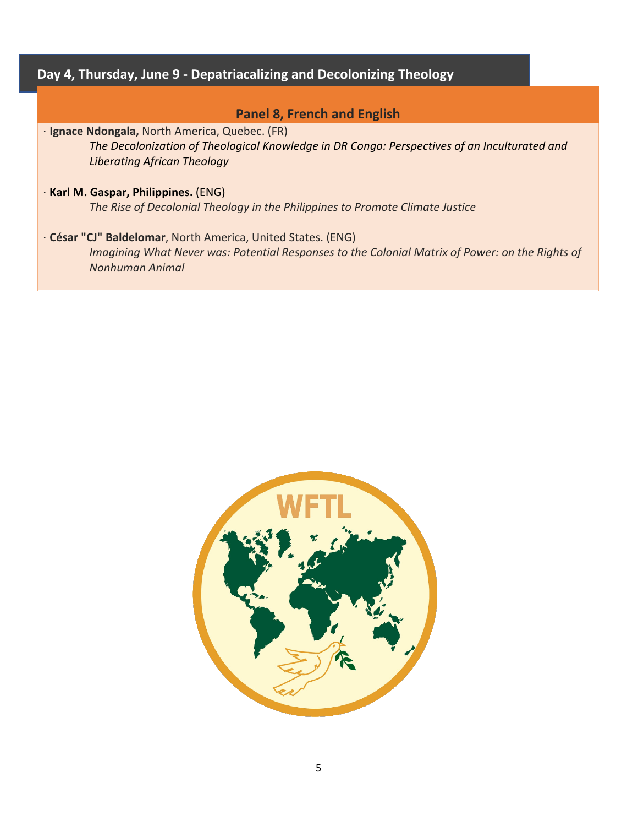#### **Day 4, Thursday, June 9 - Depatriacalizing and Decolonizing Theology**

#### **Panel 8, French and English**

⋅ **Ignace Ndongala,** North America, Quebec. (FR)

*The Decolonization of Theological Knowledge in DR Congo: Perspectives of an Inculturated and Liberating African Theology*

⋅ **Karl M. Gaspar, Philippines.** (ENG) *The Rise of Decolonial Theology in the Philippines to Promote Climate Justice*

⋅ **César "CJ" Baldelomar**, North America, United States. (ENG) *Imagining What Never was: Potential Responses to the Colonial Matrix of Power: on the Rights of Nonhuman Animal*

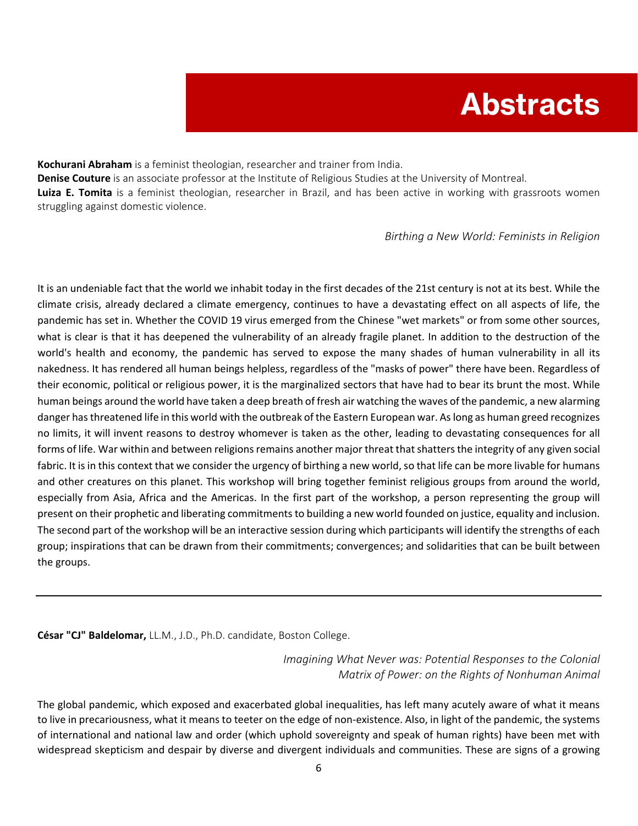# **Abstracts**

**Kochurani Abraham** is a feminist theologian, researcher and trainer from India. **Denise Couture** is an associate professor at the Institute of Religious Studies at the University of Montreal. **Luiza E. Tomita** is a feminist theologian, researcher in Brazil, and has been active in working with grassroots women struggling against domestic violence.

*Birthing a New World: Feminists in Religion*

It is an undeniable fact that the world we inhabit today in the first decades of the 21st century is not at its best. While the climate crisis, already declared a climate emergency, continues to have a devastating effect on all aspects of life, the pandemic has set in. Whether the COVID 19 virus emerged from the Chinese "wet markets" or from some other sources, what is clear is that it has deepened the vulnerability of an already fragile planet. In addition to the destruction of the world's health and economy, the pandemic has served to expose the many shades of human vulnerability in all its nakedness. It has rendered all human beings helpless, regardless of the "masks of power" there have been. Regardless of their economic, political or religious power, it is the marginalized sectors that have had to bear its brunt the most. While human beings around the world have taken a deep breath of fresh air watching the waves of the pandemic, a new alarming danger has threatened life in this world with the outbreak of the Eastern European war. As long as human greed recognizes no limits, it will invent reasons to destroy whomever is taken as the other, leading to devastating consequences for all forms of life. War within and between religions remains another major threat that shatters the integrity of any given social fabric. It is in this context that we consider the urgency of birthing a new world, so that life can be more livable for humans and other creatures on this planet. This workshop will bring together feminist religious groups from around the world, especially from Asia, Africa and the Americas. In the first part of the workshop, a person representing the group will present on their prophetic and liberating commitments to building a new world founded on justice, equality and inclusion. The second part of the workshop will be an interactive session during which participants will identify the strengths of each group; inspirations that can be drawn from their commitments; convergences; and solidarities that can be built between the groups.

**César "CJ" Baldelomar,** LL.M., J.D., Ph.D. candidate, Boston College.

*Imagining What Never was: Potential Responses to the Colonial Matrix of Power: on the Rights of Nonhuman Animal*

The global pandemic, which exposed and exacerbated global inequalities, has left many acutely aware of what it means to live in precariousness, what it means to teeter on the edge of non-existence. Also, in light of the pandemic, the systems of international and national law and order (which uphold sovereignty and speak of human rights) have been met with widespread skepticism and despair by diverse and divergent individuals and communities. These are signs of a growing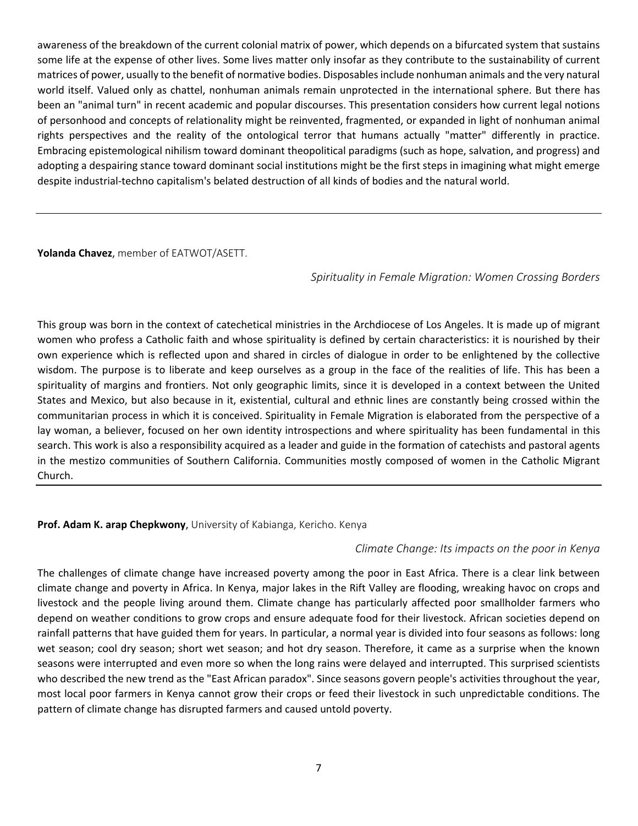awareness of the breakdown of the current colonial matrix of power, which depends on a bifurcated system that sustains some life at the expense of other lives. Some lives matter only insofar as they contribute to the sustainability of current matrices of power, usually to the benefit of normative bodies. Disposables include nonhuman animals and the very natural world itself. Valued only as chattel, nonhuman animals remain unprotected in the international sphere. But there has been an "animal turn" in recent academic and popular discourses. This presentation considers how current legal notions of personhood and concepts of relationality might be reinvented, fragmented, or expanded in light of nonhuman animal rights perspectives and the reality of the ontological terror that humans actually "matter" differently in practice. Embracing epistemological nihilism toward dominant theopolitical paradigms (such as hope, salvation, and progress) and adopting a despairing stance toward dominant social institutions might be the first steps in imagining what might emerge despite industrial-techno capitalism's belated destruction of all kinds of bodies and the natural world.

**Yolanda Chavez**, member of EATWOT/ASETT.

*Spirituality in Female Migration: Women Crossing Borders*

This group was born in the context of catechetical ministries in the Archdiocese of Los Angeles. It is made up of migrant women who profess a Catholic faith and whose spirituality is defined by certain characteristics: it is nourished by their own experience which is reflected upon and shared in circles of dialogue in order to be enlightened by the collective wisdom. The purpose is to liberate and keep ourselves as a group in the face of the realities of life. This has been a spirituality of margins and frontiers. Not only geographic limits, since it is developed in a context between the United States and Mexico, but also because in it, existential, cultural and ethnic lines are constantly being crossed within the communitarian process in which it is conceived. Spirituality in Female Migration is elaborated from the perspective of a lay woman, a believer, focused on her own identity introspections and where spirituality has been fundamental in this search. This work is also a responsibility acquired as a leader and guide in the formation of catechists and pastoral agents in the mestizo communities of Southern California. Communities mostly composed of women in the Catholic Migrant Church.

#### **Prof. Adam K. arap Chepkwony**, University of Kabianga, Kericho. Kenya

#### *Climate Change: Its impacts on the poor in Kenya*

The challenges of climate change have increased poverty among the poor in East Africa. There is a clear link between climate change and poverty in Africa. In Kenya, major lakes in the Rift Valley are flooding, wreaking havoc on crops and livestock and the people living around them. Climate change has particularly affected poor smallholder farmers who depend on weather conditions to grow crops and ensure adequate food for their livestock. African societies depend on rainfall patterns that have guided them for years. In particular, a normal year is divided into four seasons as follows: long wet season; cool dry season; short wet season; and hot dry season. Therefore, it came as a surprise when the known seasons were interrupted and even more so when the long rains were delayed and interrupted. This surprised scientists who described the new trend as the "East African paradox". Since seasons govern people's activities throughout the year, most local poor farmers in Kenya cannot grow their crops or feed their livestock in such unpredictable conditions. The pattern of climate change has disrupted farmers and caused untold poverty.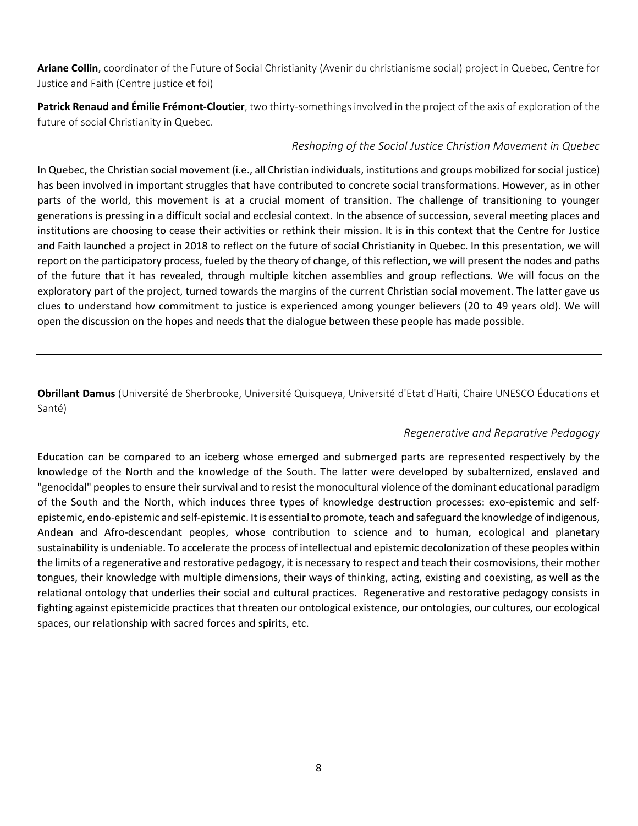**Ariane Collin**, coordinator of the Future of Social Christianity (Avenir du christianisme social) project in Quebec, Centre for Justice and Faith (Centre justice et foi)

**Patrick Renaud and Émilie Frémont-Cloutier**, two thirty-somethings involved in the project of the axis of exploration of the future of social Christianity in Quebec.

#### *Reshaping of the Social Justice Christian Movement in Quebec*

In Quebec, the Christian social movement (i.e., all Christian individuals, institutions and groups mobilized for social justice) has been involved in important struggles that have contributed to concrete social transformations. However, as in other parts of the world, this movement is at a crucial moment of transition. The challenge of transitioning to younger generations is pressing in a difficult social and ecclesial context. In the absence of succession, several meeting places and institutions are choosing to cease their activities or rethink their mission. It is in this context that the Centre for Justice and Faith launched a project in 2018 to reflect on the future of social Christianity in Quebec. In this presentation, we will report on the participatory process, fueled by the theory of change, of this reflection, we will present the nodes and paths of the future that it has revealed, through multiple kitchen assemblies and group reflections. We will focus on the exploratory part of the project, turned towards the margins of the current Christian social movement. The latter gave us clues to understand how commitment to justice is experienced among younger believers (20 to 49 years old). We will open the discussion on the hopes and needs that the dialogue between these people has made possible.

**Obrillant Damus** (Université de Sherbrooke, Université Quisqueya, Université d'Etat d'Haïti, Chaire UNESCO Éducations et Santé)

#### *Regenerative and Reparative Pedagogy*

Education can be compared to an iceberg whose emerged and submerged parts are represented respectively by the knowledge of the North and the knowledge of the South. The latter were developed by subalternized, enslaved and "genocidal" peoples to ensure their survival and to resist the monocultural violence of the dominant educational paradigm of the South and the North, which induces three types of knowledge destruction processes: exo-epistemic and selfepistemic, endo-epistemic and self-epistemic. It is essential to promote, teach and safeguard the knowledge of indigenous, Andean and Afro-descendant peoples, whose contribution to science and to human, ecological and planetary sustainability is undeniable. To accelerate the process of intellectual and epistemic decolonization of these peoples within the limits of a regenerative and restorative pedagogy, it is necessary to respect and teach their cosmovisions, their mother tongues, their knowledge with multiple dimensions, their ways of thinking, acting, existing and coexisting, as well as the relational ontology that underlies their social and cultural practices. Regenerative and restorative pedagogy consists in fighting against epistemicide practices that threaten our ontological existence, our ontologies, our cultures, our ecological spaces, our relationship with sacred forces and spirits, etc.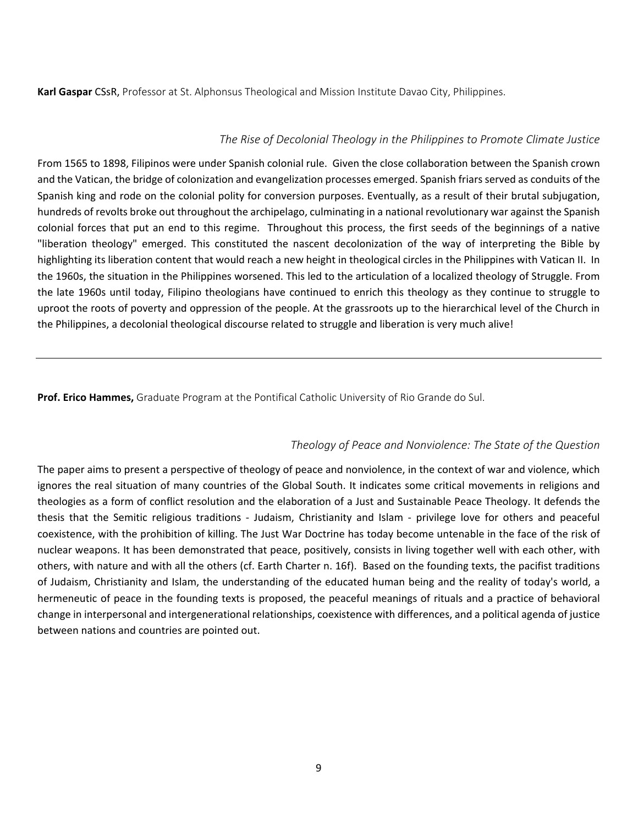**Karl Gaspar** CSsR, Professor at St. Alphonsus Theological and Mission Institute Davao City, Philippines.

#### *The Rise of Decolonial Theology in the Philippines to Promote Climate Justice*

From 1565 to 1898, Filipinos were under Spanish colonial rule. Given the close collaboration between the Spanish crown and the Vatican, the bridge of colonization and evangelization processes emerged. Spanish friars served as conduits of the Spanish king and rode on the colonial polity for conversion purposes. Eventually, as a result of their brutal subjugation, hundreds of revolts broke out throughout the archipelago, culminating in a national revolutionary war against the Spanish colonial forces that put an end to this regime. Throughout this process, the first seeds of the beginnings of a native "liberation theology" emerged. This constituted the nascent decolonization of the way of interpreting the Bible by highlighting its liberation content that would reach a new height in theological circles in the Philippines with Vatican II. In the 1960s, the situation in the Philippines worsened. This led to the articulation of a localized theology of Struggle. From the late 1960s until today, Filipino theologians have continued to enrich this theology as they continue to struggle to uproot the roots of poverty and oppression of the people. At the grassroots up to the hierarchical level of the Church in the Philippines, a decolonial theological discourse related to struggle and liberation is very much alive!

**Prof. Erico Hammes,** Graduate Program at the Pontifical Catholic University of Rio Grande do Sul.

#### *Theology of Peace and Nonviolence: The State of the Question*

The paper aims to present a perspective of theology of peace and nonviolence, in the context of war and violence, which ignores the real situation of many countries of the Global South. It indicates some critical movements in religions and theologies as a form of conflict resolution and the elaboration of a Just and Sustainable Peace Theology. It defends the thesis that the Semitic religious traditions - Judaism, Christianity and Islam - privilege love for others and peaceful coexistence, with the prohibition of killing. The Just War Doctrine has today become untenable in the face of the risk of nuclear weapons. It has been demonstrated that peace, positively, consists in living together well with each other, with others, with nature and with all the others (cf. Earth Charter n. 16f). Based on the founding texts, the pacifist traditions of Judaism, Christianity and Islam, the understanding of the educated human being and the reality of today's world, a hermeneutic of peace in the founding texts is proposed, the peaceful meanings of rituals and a practice of behavioral change in interpersonal and intergenerational relationships, coexistence with differences, and a political agenda of justice between nations and countries are pointed out.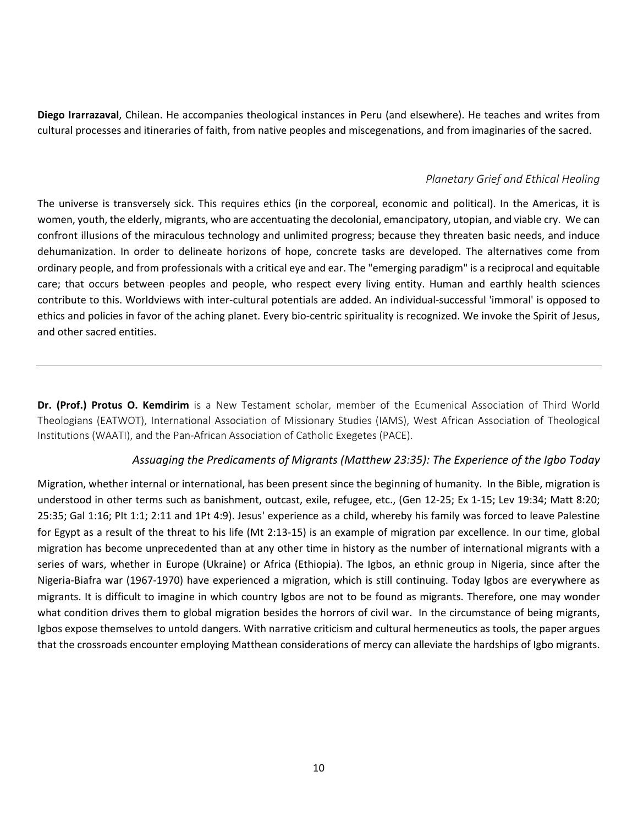**Diego Irarrazaval**, Chilean. He accompanies theological instances in Peru (and elsewhere). He teaches and writes from cultural processes and itineraries of faith, from native peoples and miscegenations, and from imaginaries of the sacred.

#### *Planetary Grief and Ethical Healing*

The universe is transversely sick. This requires ethics (in the corporeal, economic and political). In the Americas, it is women, youth, the elderly, migrants, who are accentuating the decolonial, emancipatory, utopian, and viable cry. We can confront illusions of the miraculous technology and unlimited progress; because they threaten basic needs, and induce dehumanization. In order to delineate horizons of hope, concrete tasks are developed. The alternatives come from ordinary people, and from professionals with a critical eye and ear. The "emerging paradigm" is a reciprocal and equitable care; that occurs between peoples and people, who respect every living entity. Human and earthly health sciences contribute to this. Worldviews with inter-cultural potentials are added. An individual-successful 'immoral' is opposed to ethics and policies in favor of the aching planet. Every bio-centric spirituality is recognized. We invoke the Spirit of Jesus, and other sacred entities.

**Dr. (Prof.) Protus O. Kemdirim** is a New Testament scholar, member of the Ecumenical Association of Third World Theologians (EATWOT), International Association of Missionary Studies (IAMS), West African Association of Theological Institutions (WAATI), and the Pan-African Association of Catholic Exegetes (PACE).

#### *Assuaging the Predicaments of Migrants (Matthew 23:35): The Experience of the Igbo Today*

Migration, whether internal or international, has been present since the beginning of humanity. In the Bible, migration is understood in other terms such as banishment, outcast, exile, refugee, etc., (Gen 12-25; Ex 1-15; Lev 19:34; Matt 8:20; 25:35; Gal 1:16; PIt 1:1; 2:11 and 1Pt 4:9). Jesus' experience as a child, whereby his family was forced to leave Palestine for Egypt as a result of the threat to his life (Mt 2:13-15) is an example of migration par excellence. In our time, global migration has become unprecedented than at any other time in history as the number of international migrants with a series of wars, whether in Europe (Ukraine) or Africa (Ethiopia). The Igbos, an ethnic group in Nigeria, since after the Nigeria-Biafra war (1967-1970) have experienced a migration, which is still continuing. Today Igbos are everywhere as migrants. It is difficult to imagine in which country Igbos are not to be found as migrants. Therefore, one may wonder what condition drives them to global migration besides the horrors of civil war. In the circumstance of being migrants, Igbos expose themselves to untold dangers. With narrative criticism and cultural hermeneutics as tools, the paper argues that the crossroads encounter employing Matthean considerations of mercy can alleviate the hardships of Igbo migrants.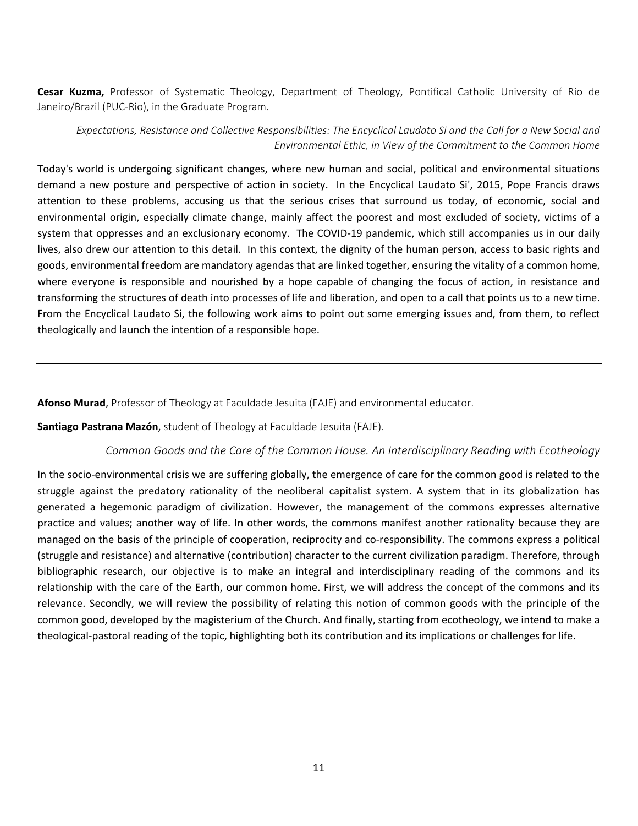**Cesar Kuzma,** Professor of Systematic Theology, Department of Theology, Pontifical Catholic University of Rio de Janeiro/Brazil (PUC-Rio), in the Graduate Program.

#### *Expectations, Resistance and Collective Responsibilities: The Encyclical Laudato Si and the Call for a New Social and Environmental Ethic, in View of the Commitment to the Common Home*

Today's world is undergoing significant changes, where new human and social, political and environmental situations demand a new posture and perspective of action in society. In the Encyclical Laudato Si', 2015, Pope Francis draws attention to these problems, accusing us that the serious crises that surround us today, of economic, social and environmental origin, especially climate change, mainly affect the poorest and most excluded of society, victims of a system that oppresses and an exclusionary economy. The COVID-19 pandemic, which still accompanies us in our daily lives, also drew our attention to this detail. In this context, the dignity of the human person, access to basic rights and goods, environmental freedom are mandatory agendas that are linked together, ensuring the vitality of a common home, where everyone is responsible and nourished by a hope capable of changing the focus of action, in resistance and transforming the structures of death into processes of life and liberation, and open to a call that points us to a new time. From the Encyclical Laudato Si, the following work aims to point out some emerging issues and, from them, to reflect theologically and launch the intention of a responsible hope.

**Afonso Murad**, Professor of Theology at Faculdade Jesuita (FAJE) and environmental educator.

**Santiago Pastrana Mazón**, student of Theology at Faculdade Jesuita (FAJE).

#### *Common Goods and the Care of the Common House. An Interdisciplinary Reading with Ecotheology*

In the socio-environmental crisis we are suffering globally, the emergence of care for the common good is related to the struggle against the predatory rationality of the neoliberal capitalist system. A system that in its globalization has generated a hegemonic paradigm of civilization. However, the management of the commons expresses alternative practice and values; another way of life. In other words, the commons manifest another rationality because they are managed on the basis of the principle of cooperation, reciprocity and co-responsibility. The commons express a political (struggle and resistance) and alternative (contribution) character to the current civilization paradigm. Therefore, through bibliographic research, our objective is to make an integral and interdisciplinary reading of the commons and its relationship with the care of the Earth, our common home. First, we will address the concept of the commons and its relevance. Secondly, we will review the possibility of relating this notion of common goods with the principle of the common good, developed by the magisterium of the Church. And finally, starting from ecotheology, we intend to make a theological-pastoral reading of the topic, highlighting both its contribution and its implications or challenges for life.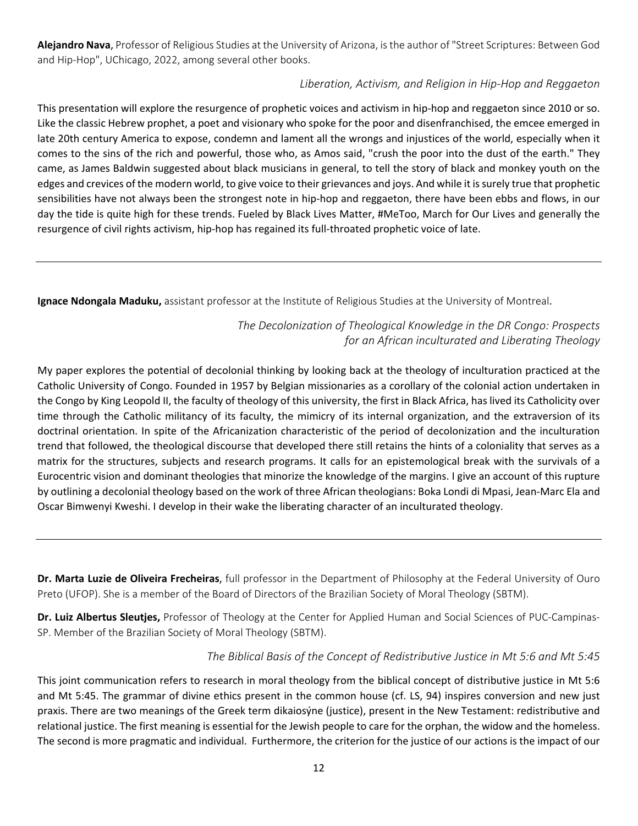**Alejandro Nava**, Professor of Religious Studies at the University of Arizona, is the author of "Street Scriptures: Between God and Hip-Hop", UChicago, 2022, among several other books.

#### *Liberation, Activism, and Religion in Hip-Hop and Reggaeton*

This presentation will explore the resurgence of prophetic voices and activism in hip-hop and reggaeton since 2010 or so. Like the classic Hebrew prophet, a poet and visionary who spoke for the poor and disenfranchised, the emcee emerged in late 20th century America to expose, condemn and lament all the wrongs and injustices of the world, especially when it comes to the sins of the rich and powerful, those who, as Amos said, "crush the poor into the dust of the earth." They came, as James Baldwin suggested about black musicians in general, to tell the story of black and monkey youth on the edges and crevices of the modern world, to give voice to their grievances and joys. And while it is surely true that prophetic sensibilities have not always been the strongest note in hip-hop and reggaeton, there have been ebbs and flows, in our day the tide is quite high for these trends. Fueled by Black Lives Matter, #MeToo, March for Our Lives and generally the resurgence of civil rights activism, hip-hop has regained its full-throated prophetic voice of late.

**Ignace Ndongala Maduku,** assistant professor at the Institute of Religious Studies at the University of Montreal.

*The Decolonization of Theological Knowledge in the DR Congo: Prospects for an African inculturated and Liberating Theology*

My paper explores the potential of decolonial thinking by looking back at the theology of inculturation practiced at the Catholic University of Congo. Founded in 1957 by Belgian missionaries as a corollary of the colonial action undertaken in the Congo by King Leopold II, the faculty of theology of this university, the first in Black Africa, has lived its Catholicity over time through the Catholic militancy of its faculty, the mimicry of its internal organization, and the extraversion of its doctrinal orientation. In spite of the Africanization characteristic of the period of decolonization and the inculturation trend that followed, the theological discourse that developed there still retains the hints of a coloniality that serves as a matrix for the structures, subjects and research programs. It calls for an epistemological break with the survivals of a Eurocentric vision and dominant theologies that minorize the knowledge of the margins. I give an account of this rupture by outlining a decolonial theology based on the work of three African theologians: Boka Londi di Mpasi, Jean-Marc Ela and Oscar Bimwenyi Kweshi. I develop in their wake the liberating character of an inculturated theology.

**Dr. Marta Luzie de Oliveira Frecheiras**, full professor in the Department of Philosophy at the Federal University of Ouro Preto (UFOP). She is a member of the Board of Directors of the Brazilian Society of Moral Theology (SBTM).

**Dr. Luiz Albertus Sleutjes,** Professor of Theology at the Center for Applied Human and Social Sciences of PUC-Campinas-SP. Member of the Brazilian Society of Moral Theology (SBTM).

#### *The Biblical Basis of the Concept of Redistributive Justice in Mt 5:6 and Mt 5:45*

This joint communication refers to research in moral theology from the biblical concept of distributive justice in Mt 5:6 and Mt 5:45. The grammar of divine ethics present in the common house (cf. LS, 94) inspires conversion and new just praxis. There are two meanings of the Greek term dikaiosýne (justice), present in the New Testament: redistributive and relational justice. The first meaning is essential for the Jewish people to care for the orphan, the widow and the homeless. The second is more pragmatic and individual. Furthermore, the criterion for the justice of our actions is the impact of our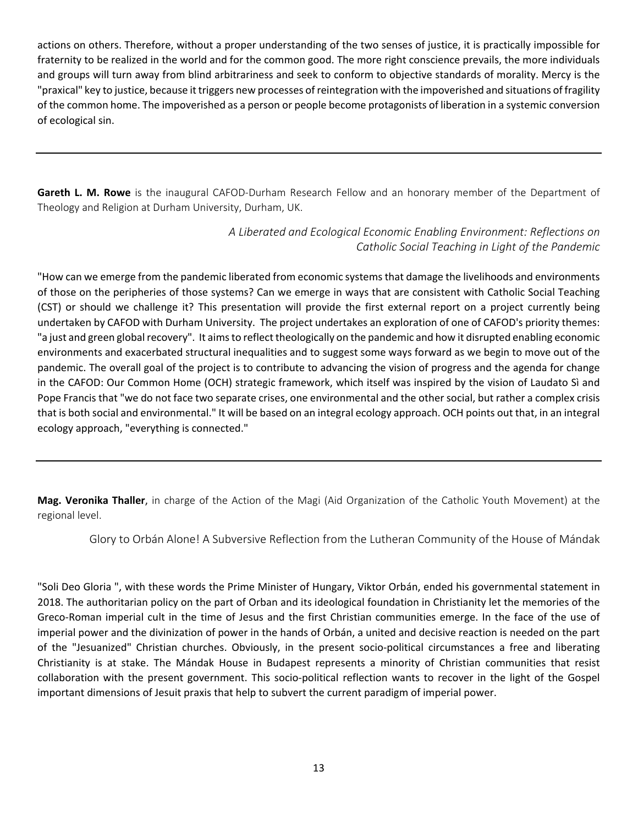actions on others. Therefore, without a proper understanding of the two senses of justice, it is practically impossible for fraternity to be realized in the world and for the common good. The more right conscience prevails, the more individuals and groups will turn away from blind arbitrariness and seek to conform to objective standards of morality. Mercy is the "praxical" key to justice, because it triggers new processes of reintegration with the impoverished and situations of fragility of the common home. The impoverished as a person or people become protagonists of liberation in a systemic conversion of ecological sin.

**Gareth L. M. Rowe** is the inaugural CAFOD-Durham Research Fellow and an honorary member of the Department of Theology and Religion at Durham University, Durham, UK.

> *A Liberated and Ecological Economic Enabling Environment: Reflections on Catholic Social Teaching in Light of the Pandemic*

"How can we emerge from the pandemic liberated from economic systems that damage the livelihoods and environments of those on the peripheries of those systems? Can we emerge in ways that are consistent with Catholic Social Teaching (CST) or should we challenge it? This presentation will provide the first external report on a project currently being undertaken by CAFOD with Durham University. The project undertakes an exploration of one of CAFOD's priority themes: "a just and green global recovery". It aims to reflect theologically on the pandemic and how it disrupted enabling economic environments and exacerbated structural inequalities and to suggest some ways forward as we begin to move out of the pandemic. The overall goal of the project is to contribute to advancing the vision of progress and the agenda for change in the CAFOD: Our Common Home (OCH) strategic framework, which itself was inspired by the vision of Laudato Sì and Pope Francis that "we do not face two separate crises, one environmental and the other social, but rather a complex crisis that is both social and environmental." It will be based on an integral ecology approach. OCH points out that, in an integral ecology approach, "everything is connected."

**Mag. Veronika Thaller**, in charge of the Action of the Magi (Aid Organization of the Catholic Youth Movement) at the regional level.

Glory to Orbán Alone! A Subversive Reflection from the Lutheran Community of the House of Mándak

"Soli Deo Gloria ", with these words the Prime Minister of Hungary, Viktor Orbán, ended his governmental statement in 2018. The authoritarian policy on the part of Orban and its ideological foundation in Christianity let the memories of the Greco-Roman imperial cult in the time of Jesus and the first Christian communities emerge. In the face of the use of imperial power and the divinization of power in the hands of Orbán, a united and decisive reaction is needed on the part of the "Jesuanized" Christian churches. Obviously, in the present socio-political circumstances a free and liberating Christianity is at stake. The Mándak House in Budapest represents a minority of Christian communities that resist collaboration with the present government. This socio-political reflection wants to recover in the light of the Gospel important dimensions of Jesuit praxis that help to subvert the current paradigm of imperial power.